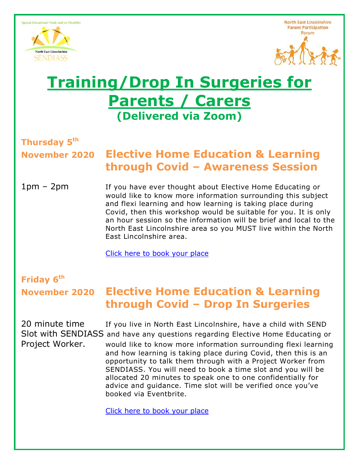



# **Training/Drop In Surgeries for Parents / Carers (Delivered via Zoom)**

# **Thursday 5th**

## **November 2020 Elective Home Education & Learning through Covid – Awareness Session**

1pm – 2pm If you have ever thought about Elective Home Educating or would like to know more information surrounding this subject and flexi learning and how learning is taking place during Covid, then this workshop would be suitable for you. It is only an hour session so the information will be brief and local to the North East Lincolnshire area so you MUST live within the North East Lincolnshire area.

[Click here to book your place](https://www.eventbrite.co.uk/e/elective-home-education-and-learning-through-covid-awareness-session-tickets-126554468823)

# **Friday 6 th**

## **November 2020 Elective Home Education & Learning through Covid – Drop In Surgeries**

20 minute time If you live in North East Lincolnshire, have a child with SEND Slot with SENDIASS and have any questions regarding Elective Home Educating or Project Worker. would like to know more information surrounding flexi learning and how learning is taking place during Covid, then this is an opportunity to talk them through with a Project Worker from SENDIASS. You will need to book a time slot and you will be allocated 20 minutes to speak one to one confidentially for advice and guidance. Time slot will be verified once you've booked via Eventbrite.

[Click here to book your place](https://www.eventbrite.co.uk/e/elective-home-education-and-learning-through-covid-drop-in-surgery-tickets-126556920155)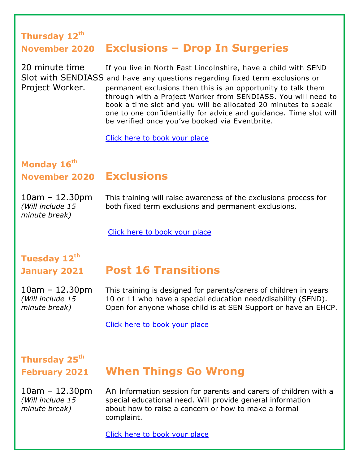### **Thursday 12th November 2020 Exclusions – Drop In Surgeries**

20 minute time If you live in North East Lincolnshire, have a child with SEND Slot with SENDIASS and have any questions regarding fixed term exclusions or Project Worker. permanent exclusions then this is an opportunity to talk them through with a Project Worker from SENDIASS. You will need to book a time slot and you will be allocated 20 minutes to speak one to one confidentially for advice and guidance. Time slot will be verified once you've booked via Eventbrite.

[Click here to book your place](https://www.eventbrite.co.uk/e/exclusions-drop-in-surgery-tickets-126560765657)

### **Monday 16th November 2020 Exclusions**

*minute break)*

10am – 12.30pm This training will raise awareness of the exclusions process for *(Will include 15* both fixed term exclusions and permanent exclusions.

[Click here to book your place](https://www.eventbrite.co.uk/e/exclusions-tickets-114401520026)

# **Tuesday 12 th**

## **January 2021 Post 16 Transitions**

10am – 12.30pm This training is designed for parents/carers of children in years *(Will include 15* 10 or 11 who have a special education need/disability (SEND). *minute break*) Open for anyone whose child is at SEN Support or have an EHCP.

[Click here to book your place](https://www.eventbrite.co.uk/e/transition-to-post-16-opportunities-tickets-114402226138)

# **Thursday 25th**

## **February 2021 When Things Go Wrong**

10am – 12.30pm An information session for parents and carers of children with a *(Will include 15* special educational need. Will provide general information *minute break*) about how to raise a concern or how to make a formal complaint.

[Click here to book your place](https://www.eventbrite.co.uk/e/when-things-go-wrong-tickets-114402561140)